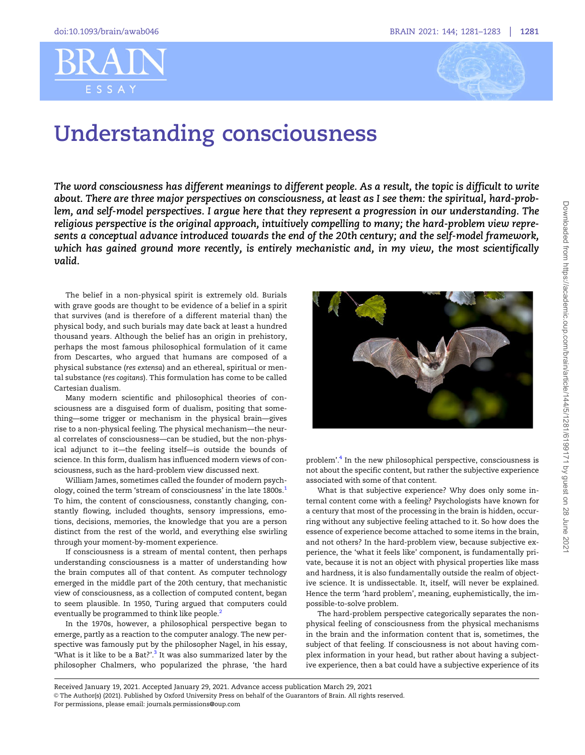## <span id="page-0-0"></span>RR A ESSAY



## Understanding consciousness

The word consciousness has different meanings to different people. As a result, the topic is difficult to write about. There are three major perspectives on consciousness, at least as I see them: the spiritual, hard-problem, and self-model perspectives. I argue here that they represent a progression in our understanding. The religious perspective is the original approach, intuitively compelling to many; the hard-problem view represents a conceptual advance introduced towards the end of the 20th century; and the self-model framework, which has gained ground more recently, is entirely mechanistic and, in my view, the most scientifically valid.

The belief in a non-physical spirit is extremely old. Burials with grave goods are thought to be evidence of a belief in a spirit that survives (and is therefore of a different material than) the physical body, and such burials may date back at least a hundred thousand years. Although the belief has an origin in prehistory, perhaps the most famous philosophical formulation of it came from Descartes, who argued that humans are composed of a physical substance (res extensa) and an ethereal, spiritual or mental substance (res cogitans). This formulation has come to be called Cartesian dualism.

Many modern scientific and philosophical theories of consciousness are a disguised form of dualism, positing that something—some trigger or mechanism in the physical brain—gives rise to a non-physical feeling. The physical mechanism—the neural correlates of consciousness—can be studied, but the non-physical adjunct to it—the feeling itself—is outside the bounds of science. In this form, dualism has influenced modern views of consciousness, such as the hard-problem view discussed next.

William James, sometimes called the founder of modern psych-ology, coined the term 'stream of consciousness' in the late [1](#page-2-0)800s.<sup>1</sup> To him, the content of consciousness, constantly changing, constantly flowing, included thoughts, sensory impressions, emotions, decisions, memories, the knowledge that you are a person distinct from the rest of the world, and everything else swirling through your moment-by-moment experience.

If consciousness is a stream of mental content, then perhaps understanding consciousness is a matter of understanding how the brain computes all of that content. As computer technology emerged in the middle part of the 20th century, that mechanistic view of consciousness, as a collection of computed content, began to seem plausible. In 1950, Turing argued that computers could eventually be programmed to think like people.<sup>[2](#page-2-0)</sup>

In the 1970s, however, a philosophical perspective began to emerge, partly as a reaction to the computer analogy. The new perspective was famously put by the philosopher Nagel, in his essay, 'What is it like to be a Bat?'. $3$  It was also summarized later by the philosopher Chalmers, who popularized the phrase, 'the hard



problem'.[4](#page-2-0) In the new philosophical perspective, consciousness is not about the specific content, but rather the subjective experience associated with some of that content.

What is that subjective experience? Why does only some internal content come with a feeling? Psychologists have known for a century that most of the processing in the brain is hidden, occurring without any subjective feeling attached to it. So how does the essence of experience become attached to some items in the brain, and not others? In the hard-problem view, because subjective experience, the 'what it feels like' component, is fundamentally private, because it is not an object with physical properties like mass and hardness, it is also fundamentally outside the realm of objective science. It is undissectable. It, itself, will never be explained. Hence the term 'hard problem', meaning, euphemistically, the impossible-to-solve problem.

The hard-problem perspective categorically separates the nonphysical feeling of consciousness from the physical mechanisms in the brain and the information content that is, sometimes, the subject of that feeling. If consciousness is not about having complex information in your head, but rather about having a subjective experience, then a bat could have a subjective experience of its

Received January 19, 2021. Accepted January 29, 2021. Advance access publication March 29, 2021 V<sup>C</sup> The Author(s) (2021). Published by Oxford University Press on behalf of the Guarantors of Brain. All rights reserved. For permissions, please email: journals.permissions@oup.com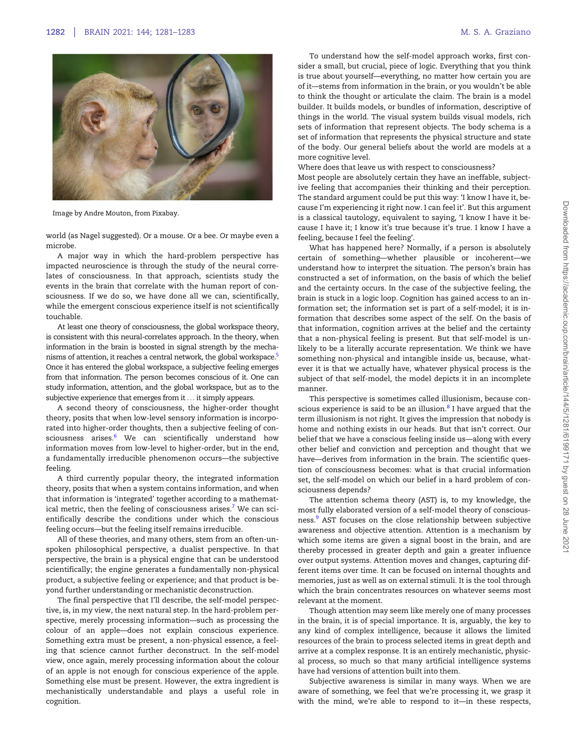<span id="page-1-0"></span>

Image by Andre Mouton, from Pixabay.

world (as Nagel suggested). Or a mouse. Or a bee. Or maybe even a microbe.

A major way in which the hard-problem perspective has impacted neuroscience is through the study of the neural correlates of consciousness. In that approach, scientists study the events in the brain that correlate with the human report of consciousness. If we do so, we have done all we can, scientifically, while the emergent conscious experience itself is not scientifically touchable.

At least one theory of consciousness, the global workspace theory, is consistent with this neural-correlates approach. In the theory, when information in the brain is boosted in signal strength by the mechanisms of attention, it reaches a central network, the global workspace.<sup>5</sup> Once it has entered the global workspace, a subjective feeling emerges from that information. The person becomes conscious of it. One can study information, attention, and the global workspace, but as to the subjective experience that emerges from it ... it simply appears.

A second theory of consciousness, the higher-order thought theory, posits that when low-level sensory information is incorporated into higher-order thoughts, then a subjective feeling of con-sciousness arises.<sup>[6](#page-2-0)</sup> We can scientifically understand how information moves from low-level to higher-order, but in the end, a fundamentally irreducible phenomenon occurs—the subjective feeling.

A third currently popular theory, the integrated information theory, posits that when a system contains information, and when that information is 'integrated' together according to a mathemat-ical metric, then the feeling of consciousness arises.<sup>[7](#page-2-0)</sup> We can scientifically describe the conditions under which the conscious feeling occurs—but the feeling itself remains irreducible.

All of these theories, and many others, stem from an often-unspoken philosophical perspective, a dualist perspective. In that perspective, the brain is a physical engine that can be understood scientifically; the engine generates a fundamentally non-physical product, a subjective feeling or experience; and that product is beyond further understanding or mechanistic deconstruction.

The final perspective that I'll describe, the self-model perspective, is, in my view, the next natural step. In the hard-problem perspective, merely processing information—such as processing the colour of an apple—does not explain conscious experience. Something extra must be present, a non-physical essence, a feeling that science cannot further deconstruct. In the self-model view, once again, merely processing information about the colour of an apple is not enough for conscious experience of the apple. Something else must be present. However, the extra ingredient is mechanistically understandable and plays a useful role in cognition.

To understand how the self-model approach works, first consider a small, but crucial, piece of logic. Everything that you think is true about yourself—everything, no matter how certain you are of it—stems from information in the brain, or you wouldn't be able to think the thought or articulate the claim. The brain is a model builder. It builds models, or bundles of information, descriptive of things in the world. The visual system builds visual models, rich sets of information that represent objects. The body schema is a set of information that represents the physical structure and state of the body. Our general beliefs about the world are models at a more cognitive level.

Where does that leave us with respect to consciousness?

Most people are absolutely certain they have an ineffable, subjective feeling that accompanies their thinking and their perception. The standard argument could be put this way: 'I know I have it, because I'm experiencing it right now. I can feel it'. But this argument is a classical tautology, equivalent to saying, 'I know I have it because I have it; I know it's true because it's true. I know I have a feeling, because I feel the feeling'.

What has happened here? Normally, if a person is absolutely certain of something—whether plausible or incoherent—we understand how to interpret the situation. The person's brain has constructed a set of information, on the basis of which the belief and the certainty occurs. In the case of the subjective feeling, the brain is stuck in a logic loop. Cognition has gained access to an information set; the information set is part of a self-model; it is information that describes some aspect of the self. On the basis of that information, cognition arrives at the belief and the certainty that a non-physical feeling is present. But that self-model is unlikely to be a literally accurate representation. We think we have something non-physical and intangible inside us, because, whatever it is that we actually have, whatever physical process is the subject of that self-model, the model depicts it in an incomplete manner.

This perspective is sometimes called illusionism, because conscious experience is said to be an illusion. $8$  I have argued that the term illusionism is not right. It gives the impression that nobody is home and nothing exists in our heads. But that isn't correct. Our belief that we have a conscious feeling inside us—along with every other belief and conviction and perception and thought that we have—derives from information in the brain. The scientific question of consciousness becomes: what is that crucial information set, the self-model on which our belief in a hard problem of consciousness depends?

The attention schema theory (AST) is, to my knowledge, the most fully elaborated version of a self-model theory of conscious-ness.<sup>[9](#page-2-0)</sup> AST focuses on the close relationship between subjective awareness and objective attention. Attention is a mechanism by which some items are given a signal boost in the brain, and are thereby processed in greater depth and gain a greater influence over output systems. Attention moves and changes, capturing different items over time. It can be focused on internal thoughts and memories, just as well as on external stimuli. It is the tool through which the brain concentrates resources on whatever seems most relevant at the moment.

Though attention may seem like merely one of many processes in the brain, it is of special importance. It is, arguably, the key to any kind of complex intelligence, because it allows the limited resources of the brain to process selected items in great depth and arrive at a complex response. It is an entirely mechanistic, physical process, so much so that many artificial intelligence systems have had versions of attention built into them.

Subjective awareness is similar in many ways. When we are aware of something, we feel that we're processing it, we grasp it with the mind, we're able to respond to it—in these respects,